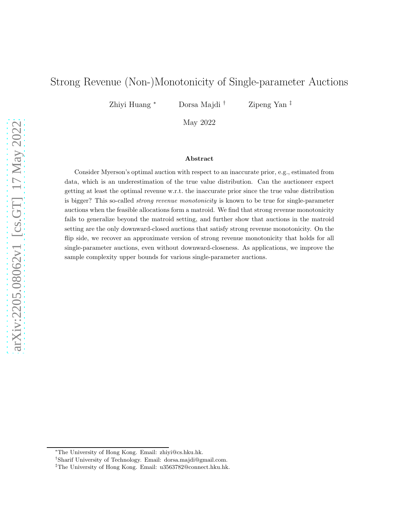# Strong Revenue (Non-)Monotonicity of Single-parameter Auctions

Zhiyi Huang <sup>∗</sup> Dorsa Majdi † Zipeng Yan ‡

May 2022

#### Abstract

Consider Myerson's optimal auction with respect to an inaccurate prior, e.g., estimated from data, which is an underestimation of the true value distribution. Can the auctioneer expect getting at least the optimal revenue w.r.t. the inaccurate prior since the true value distribution is bigger? This so-called strong revenue monotonicity is known to be true for single-parameter auctions when the feasible allocations form a matroid. We find that strong revenue monotonicity fails to generalize beyond the matroid setting, and further show that auctions in the matroid setting are the only downward-closed auctions that satisfy strong revenue monotonicity. On the flip side, we recover an approximate version of strong revenue monotonicity that holds for all single-parameter auctions, even without downward-closeness. As applications, we improve the sample complexity upper bounds for various single-parameter auctions.

<sup>∗</sup>The University of Hong Kong. Email: zhiyi@cs.hku.hk.

<sup>†</sup> Sharif University of Technology. Email: dorsa.majdi@gmail.com.

<sup>‡</sup>The University of Hong Kong. Email: u3563782@connect.hku.hk.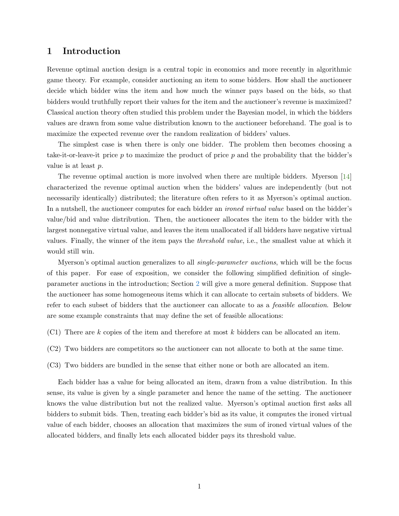# 1 Introduction

Revenue optimal auction design is a central topic in economics and more recently in algorithmic game theory. For example, consider auctioning an item to some bidders. How shall the auctioneer decide which bidder wins the item and how much the winner pays based on the bids, so that bidders would truthfully report their values for the item and the auctioneer's revenue is maximized? Classical auction theory often studied this problem under the Bayesian model, in which the bidders values are drawn from some value distribution known to the auctioneer beforehand. The goal is to maximize the expected revenue over the random realization of bidders' values.

The simplest case is when there is only one bidder. The problem then becomes choosing a take-it-or-leave-it price  $p$  to maximize the product of price  $p$  and the probability that the bidder's value is at least p.

The revenue optimal auction is more involved when there are multiple bidders. Myerson [\[14](#page-23-0)] characterized the revenue optimal auction when the bidders' values are independently (but not necessarily identically) distributed; the literature often refers to it as Myerson's optimal auction. In a nutshell, the auctioneer computes for each bidder an *ironed virtual value* based on the bidder's value/bid and value distribution. Then, the auctioneer allocates the item to the bidder with the largest nonnegative virtual value, and leaves the item unallocated if all bidders have negative virtual values. Finally, the winner of the item pays the threshold value, i.e., the smallest value at which it would still win.

Myerson's optimal auction generalizes to all single-parameter auctions, which will be the focus of this paper. For ease of exposition, we consider the following simplified definition of singleparameter auctions in the introduction; Section [2](#page-5-0) will give a more general definition. Suppose that the auctioneer has some homogeneous items which it can allocate to certain subsets of bidders. We refer to each subset of bidders that the auctioneer can allocate to as a feasible allocation. Below are some example constraints that may define the set of feasible allocations:

- $(C1)$  There are k copies of the item and therefore at most k bidders can be allocated an item.
- (C2) Two bidders are competitors so the auctioneer can not allocate to both at the same time.
- (C3) Two bidders are bundled in the sense that either none or both are allocated an item.

Each bidder has a value for being allocated an item, drawn from a value distribution. In this sense, its value is given by a single parameter and hence the name of the setting. The auctioneer knows the value distribution but not the realized value. Myerson's optimal auction first asks all bidders to submit bids. Then, treating each bidder's bid as its value, it computes the ironed virtual value of each bidder, chooses an allocation that maximizes the sum of ironed virtual values of the allocated bidders, and finally lets each allocated bidder pays its threshold value.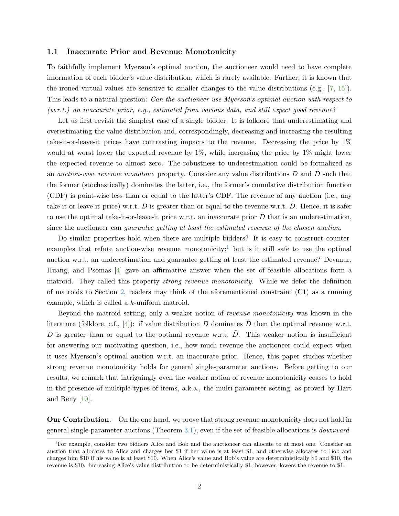### 1.1 Inaccurate Prior and Revenue Monotonicity

To faithfully implement Myerson's optimal auction, the auctioneer would need to have complete information of each bidder's value distribution, which is rarely available. Further, it is known that the ironed virtual values are sensitive to smaller changes to the value distributions (e.g., [\[7,](#page-22-0) [15\]](#page-23-1)). This leads to a natural question: *Can the auctioneer use Myerson's optimal auction with respect to*  $(w.r.t.)$  an inaccurate prior, e.g., estimated from various data, and still expect good revenue?

Let us first revisit the simplest case of a single bidder. It is folklore that underestimating and overestimating the value distribution and, correspondingly, decreasing and increasing the resulting take-it-or-leave-it prices have contrasting impacts to the revenue. Decreasing the price by 1% would at worst lower the expected revenue by 1%, while increasing the price by 1% might lower the expected revenue to almost zero. The robustness to underestimation could be formalized as an *auction-wise revenue monotone* property. Consider any value distributions  $D$  and  $\tilde{D}$  such that the former (stochastically) dominates the latter, i.e., the former's cumulative distribution function (CDF) is point-wise less than or equal to the latter's CDF. The revenue of any auction (i.e., any take-it-or-leave-it price) w.r.t.  $D$  is greater than or equal to the revenue w.r.t.  $D$ . Hence, it is safer to use the optimal take-it-or-leave-it price w.r.t. an inaccurate prior  $\ddot{D}$  that is an underestimation, since the auctioneer can guarantee getting at least the estimated revenue of the chosen auction.

Do similar properties hold when there are multiple bidders? It is easy to construct counterexamples that refute auction-wise revenue monotonicity; but is it still safe to use the optimal auction w.r.t. an underestimation and guarantee getting at least the estimated revenue? Devanur, Huang, and Psomas [\[4](#page-22-1)] gave an affirmative answer when the set of feasible allocations form a matroid. They called this property *strong revenue monotonicity*. While we defer the definition of matroids to Section [2,](#page-5-0) readers may think of the aforementioned constraint (C1) as a running example, which is called a k-uniform matroid.

Beyond the matroid setting, only a weaker notion of revenue monotonicity was known in the literature (folklore, c.f., [\[4](#page-22-1)]): if value distribution D dominates  $\tilde{D}$  then the optimal revenue w.r.t. D is greater than or equal to the optimal revenue w.r.t.  $\ddot{D}$ . This weaker notion is insufficient for answering our motivating question, i.e., how much revenue the auctioneer could expect when it uses Myerson's optimal auction w.r.t. an inaccurate prior. Hence, this paper studies whether strong revenue monotonicity holds for general single-parameter auctions. Before getting to our results, we remark that intriguingly even the weaker notion of revenue monotonicity ceases to hold in the presence of multiple types of items, a.k.a., the multi-parameter setting, as proved by Hart and Reny [\[10](#page-23-2)].

**Our Contribution.** On the one hand, we prove that strong revenue monotonicity does not hold in general single-parameter auctions (Theorem [3.1\)](#page-10-0), even if the set of feasible allocations is downward-

<span id="page-2-0"></span><sup>1</sup>For example, consider two bidders Alice and Bob and the auctioneer can allocate to at most one. Consider an auction that allocates to Alice and charges her \$1 if her value is at least \$1, and otherwise allocates to Bob and charges him \$10 if his value is at least \$10. When Alice's value and Bob's value are deterministically \$0 and \$10, the revenue is \$10. Increasing Alice's value distribution to be deterministically \$1, however, lowers the revenue to \$1.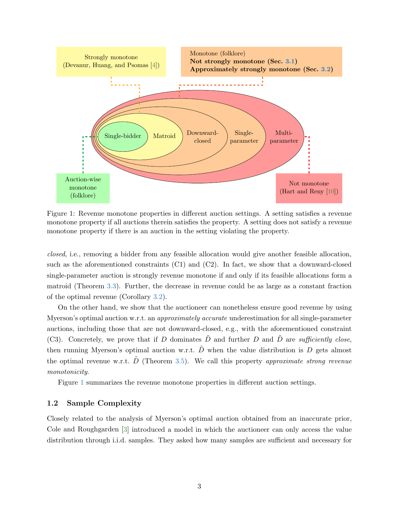<span id="page-3-0"></span>

Figure 1: Revenue monotone properties in different auction settings. A setting satisfies a revenue monotone property if all auctions therein satisfies the property. A setting does not satisfy a revenue monotone property if there is an auction in the setting violating the property.

closed, i.e., removing a bidder from any feasible allocation would give another feasible allocation, such as the aforementioned constraints (C1) and (C2). In fact, we show that a downward-closed single-parameter auction is strongly revenue monotone if and only if its feasible allocations form a matroid (Theorem [3.3\)](#page-11-0). Further, the decrease in revenue could be as large as a constant fraction of the optimal revenue (Corollary [3.2\)](#page-11-1).

On the other hand, we show that the auctioneer can nonetheless ensure good revenue by using Myerson's optimal auction w.r.t. an *approximately accurate* underestimation for all single-parameter auctions, including those that are not downward-closed, e.g., with the aforementioned constraint (C3). Concretely, we prove that if D dominates  $\tilde{D}$  and further D and  $\tilde{D}$  are sufficiently close, then running Myerson's optimal auction w.r.t.  $\tilde{D}$  when the value distribution is D gets almost the optimal revenue w.r.t.  $\tilde{D}$  (Theorem [3.5\)](#page-13-1). We call this property approximate strong revenue monotonicity.

Figure [1](#page-3-0) summarizes the revenue monotone properties in different auction settings.

### 1.2 Sample Complexity

Closely related to the analysis of Myerson's optimal auction obtained from an inaccurate prior, Cole and Roughgarden [\[3](#page-22-2)] introduced a model in which the auctioneer can only access the value distribution through i.i.d. samples. They asked how many samples are sufficient and necessary for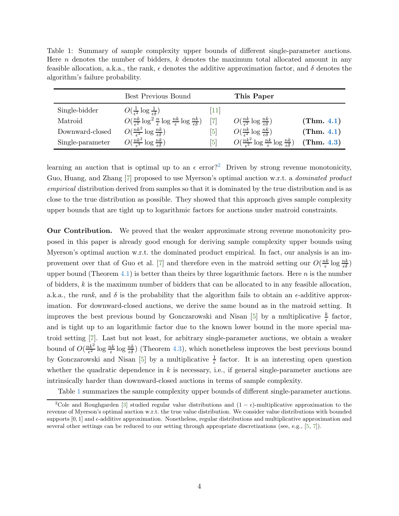<span id="page-4-1"></span>Table 1: Summary of sample complexity upper bounds of different single-parameter auctions. Here n denotes the number of bidders,  $k$  denotes the maximum total allocated amount in any feasible allocation, a.k.a., the rank,  $\epsilon$  denotes the additive approximation factor, and  $\delta$  denotes the algorithm's failure probability.

|                  | Best Previous Bound                                                                                             |                   | This Paper                                                                     |            |
|------------------|-----------------------------------------------------------------------------------------------------------------|-------------------|--------------------------------------------------------------------------------|------------|
| Single-bidder    | $O(\frac{1}{\epsilon^2} \log \frac{1}{\epsilon \delta})$                                                        | 111               |                                                                                |            |
| Matroid          | $O(\frac{nk}{\epsilon^2} \log^2 \frac{n}{\epsilon} \log \frac{nk}{\epsilon} \log \frac{nk}{\epsilon^{\delta}})$ | $[7]$             | $O(\frac{nk}{\epsilon^2} \log \frac{nk}{\epsilon \delta})$                     | (Thm. 4.1) |
| Downward-closed  | $O(\frac{nk^2}{\epsilon^3} \log \frac{nk}{\epsilon \delta})$                                                    | [5]               | $O(\frac{nk}{\epsilon^2} \log \frac{nk}{\epsilon^{\lambda}})$                  | (Thm. 4.1) |
| Single-parameter | $O(\frac{nk^2}{\epsilon^3} \log \frac{nk}{\epsilon \delta})$                                                    | $\lceil 5 \rceil$ | $O(\frac{nk^2}{\epsilon^2} \log \frac{nk}{\epsilon} \log \frac{nk}{\epsilon})$ | (Thm. 4.3) |

learning an auction that is optimal up to an  $\epsilon$  error?<sup>[2](#page-4-0)</sup> Driven by strong revenue monotonicity, Guo, Huang, and Zhang [\[7](#page-22-0)] proposed to use Myerson's optimal auction w.r.t. a dominated product empirical distribution derived from samples so that it is dominated by the true distribution and is as close to the true distribution as possible. They showed that this approach gives sample complexity upper bounds that are tight up to logarithmic factors for auctions under matroid constraints.

Our Contribution. We proved that the weaker approximate strong revenue monotonicity proposed in this paper is already good enough for deriving sample complexity upper bounds using Myerson's optimal auction w.r.t. the dominated product empirical. In fact, our analysis is an im-provement over that of Guo et al. [\[7](#page-22-0)] and therefore even in the matroid setting our  $O(\frac{nk}{\epsilon})$  $\frac{ik}{\epsilon} \log \frac{nk}{\epsilon \delta}$ upper bound (Theorem [4.1\)](#page-18-0) is better than theirs by three logarithmic factors. Here n is the number of bidders,  $k$  is the maximum number of bidders that can be allocated to in any feasible allocation. a.k.a., the rank, and  $\delta$  is the probability that the algorithm fails to obtain an  $\epsilon$ -additive approximation. For downward-closed auctions, we derive the same bound as in the matroid setting. It improves the best previous bound by Gonczarowski and Nisan [\[5\]](#page-22-3) by a multiplicative  $\frac{k}{\epsilon}$  factor, and is tight up to an logarithmic factor due to the known lower bound in the more special matroid setting [\[7](#page-22-0)]. Last but not least, for arbitrary single-parameter auctions, we obtain a weaker bound of  $O(\frac{nk^2}{\epsilon^2})$  $\frac{nk^2}{\epsilon^2} \log \frac{nk}{\epsilon} \log \frac{nk}{\epsilon}$  (Theorem [4.3\)](#page-21-0), which nonetheless improves the best previous bound by Gonczarowski and Nisan [\[5](#page-22-3)] by a multiplicative  $\frac{1}{\epsilon}$  factor. It is an interesting open question whether the quadratic dependence in  $k$  is necessary, i.e., if general single-parameter auctions are intrinsically harder than downward-closed auctions in terms of sample complexity.

Table [1](#page-4-1) summarizes the sample complexity upper bounds of different single-parameter auctions.

<span id="page-4-0"></span><sup>&</sup>lt;sup>2</sup>Cole and Roughgarden [\[3](#page-22-2)] studied regular value distributions and  $(1 - \epsilon)$ -multiplicative approximation to the revenue of Myerson's optimal auction w.r.t. the true value distribution. We consider value distributions with bounded supports  $[0, 1]$  and  $\epsilon$ -additive approximation. Nonetheless, regular distributions and multiplicative approximation and several other settings can be reduced to our setting through appropriate discretizations (see, e.g., [\[5,](#page-22-3) [7\]](#page-22-0)).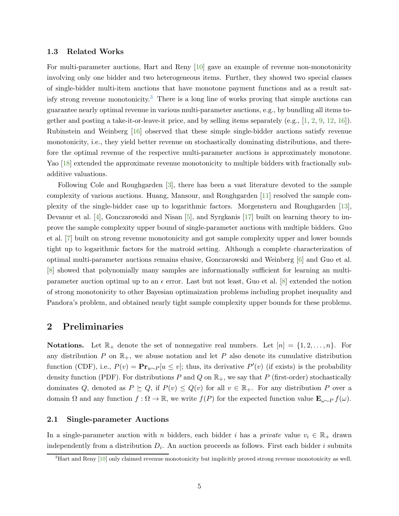### 1.3 Related Works

For multi-parameter auctions, Hart and Reny [\[10](#page-23-2)] gave an example of revenue non-monotonicity involving only one bidder and two heterogeneous items. Further, they showed two special classes of single-bidder multi-item auctions that have monotone payment functions and as a result satisfy strong revenue monotonicity.[3](#page-5-1) There is a long line of works proving that simple auctions can guarantee nearly optimal revenue in various multi-parameter auctions, e.g., by bundling all items together and posting a take-it-or-leave-it price, and by selling items separately (e.g.,  $[1, 2, 9, 12, 16]$  $[1, 2, 9, 12, 16]$  $[1, 2, 9, 12, 16]$  $[1, 2, 9, 12, 16]$  $[1, 2, 9, 12, 16]$  $[1, 2, 9, 12, 16]$  $[1, 2, 9, 12, 16]$  $[1, 2, 9, 12, 16]$ ). Rubinstein and Weinberg [\[16\]](#page-23-5) observed that these simple single-bidder auctions satisfy revenue monotonicity, i.e., they yield better revenue on stochastically dominating distributions, and therefore the optimal revenue of the respective multi-parameter auctions is approximately monotone. Yao [\[18](#page-23-6)] extended the approximate revenue monotonicity to multiple bidders with fractionally subadditive valuations.

Following Cole and Roughgarden [\[3\]](#page-22-2), there has been a vast literature devoted to the sample complexity of various auctions. Huang, Mansour, and Roughgarden [\[11](#page-23-3)] resolved the sample complexity of the single-bidder case up to logarithmic factors. Morgenstern and Roughgarden [\[13\]](#page-23-7), Devanur et al. [\[4](#page-22-1)], Gonczarowski and Nisan [\[5\]](#page-22-3), and Syrgkanis [\[17](#page-23-8)] built on learning theory to improve the sample complexity upper bound of single-parameter auctions with multiple bidders. Guo et al. [\[7](#page-22-0)] built on strong revenue monotonicity and got sample complexity upper and lower bounds tight up to logarithmic factors for the matroid setting. Although a complete characterization of optimal multi-parameter auctions remains elusive, Gonczarowski and Weinberg [\[6\]](#page-22-7) and Guo et al. [\[8](#page-22-8)] showed that polynomially many samples are informationally sufficient for learning an multiparameter auction optimal up to an  $\epsilon$  error. Last but not least, Guo et al. [\[8](#page-22-8)] extended the notion of strong monotonicity to other Bayesian optimaization problems including prophet inequality and Pandora's problem, and obtained nearly tight sample complexity upper bounds for these problems.

## <span id="page-5-0"></span>2 Preliminaries

**Notations.** Let  $\mathbb{R}_+$  denote the set of nonnegative real numbers. Let  $[n] = \{1, 2, ..., n\}$ . For any distribution P on  $\mathbb{R}_+$ , we abuse notation and let P also denote its cumulative distribution function (CDF), i.e.,  $P(v) = \mathbf{Pr}_{u \sim P}[u \le v]$ ; thus, its derivative  $P'(v)$  (if exists) is the probability density function (PDF). For distributions P and Q on  $\mathbb{R}_+$ , we say that P (first-order) stochastically dominates Q, denoted as  $P \succeq Q$ , if  $P(v) \leq Q(v)$  for all  $v \in \mathbb{R}_+$ . For any distribution P over a domain  $\Omega$  and any function  $f : \Omega \to \mathbb{R}$ , we write  $f(P)$  for the expected function value  $\mathbf{E}_{\omega \sim P} f(\omega)$ .

### 2.1 Single-parameter Auctions

In a single-parameter auction with n bidders, each bidder i has a private value  $v_i \in \mathbb{R}_+$  drawn independently from a distribution  $D_i$ . An auction proceeds as follows. First each bidder i submits

<span id="page-5-1"></span> ${}^{3}$ Hart and Reny [\[10](#page-23-2)] only claimed revenue monotonicity but implicitly proved strong revenue monotonicity as well.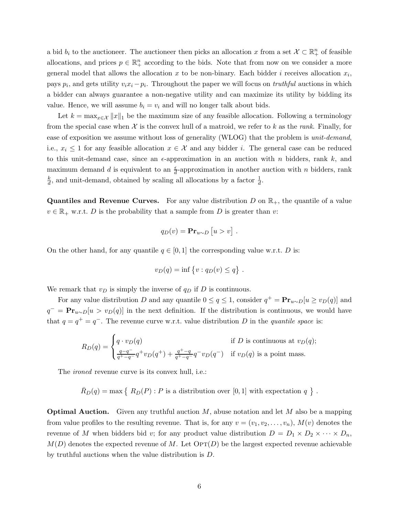a bid  $b_i$  to the auctioneer. The auctioneer then picks an allocation x from a set  $\mathcal{X} \subset \mathbb{R}^n_+$  of feasible allocations, and prices  $p \in \mathbb{R}^n_+$  according to the bids. Note that from now on we consider a more general model that allows the allocation x to be non-binary. Each bidder i receives allocation  $x_i$ , pays  $p_i$ , and gets utility  $v_i x_i - p_i$ . Throughout the paper we will focus on *truthful* auctions in which a bidder can always guarantee a non-negative utility and can maximize its utility by bidding its value. Hence, we will assume  $b_i = v_i$  and will no longer talk about bids.

Let  $k = \max_{x \in \mathcal{X}} ||x||_1$  be the maximum size of any feasible allocation. Following a terminology from the special case when  $\mathcal X$  is the convex hull of a matroid, we refer to k as the rank. Finally, for ease of exposition we assume without loss of generality (WLOG) that the problem is unit-demand, i.e.,  $x_i \leq 1$  for any feasible allocation  $x \in \mathcal{X}$  and any bidder i. The general case can be reduced to this unit-demand case, since an  $\epsilon$ -approximation in an auction with n bidders, rank k, and maximum demand d is equivalent to an  $\frac{\epsilon}{d}$ -approximation in another auction with n bidders, rank k  $\frac{k}{d}$ , and unit-demand, obtained by scaling all allocations by a factor  $\frac{1}{d}$ .

**Quantiles and Revenue Curves.** For any value distribution D on  $\mathbb{R}_+$ , the quantile of a value  $v \in \mathbb{R}_+$  w.r.t. D is the probability that a sample from D is greater than v:

$$
q_D(v) = \mathbf{Pr}_{u \sim D} [u > v].
$$

On the other hand, for any quantile  $q \in [0, 1]$  the corresponding value w.r.t. D is:

$$
v_D(q) = \inf \{ v : q_D(v) \le q \} .
$$

We remark that  $v_D$  is simply the inverse of  $q_D$  if D is continuous.

For any value distribution D and any quantile  $0 \le q \le 1$ , consider  $q^+ = \mathbf{Pr}_{u \sim D}[u \ge v_D(q)]$  and  $q^- = \mathbf{Pr}_{u \sim D}[u > v_D(q)]$  in the next definition. If the distribution is continuous, we would have that  $q = q^+ = q^-$ . The revenue curve w.r.t. value distribution D in the quantile space is:

$$
R_D(q) = \begin{cases} q \cdot v_D(q) & \text{if } D \text{ is continuous at } v_D(q); \\ \frac{q-q}{q^+-q}q^+v_D(q^+)+\frac{q^+-q}{q^+-q}q^-v_D(q^-) & \text{if } v_D(q) \text{ is a point mass.} \end{cases}
$$

The *ironed* revenue curve is its convex hull, i.e.:

$$
\bar{R}_D(q) = \max \{ R_D(P) : P \text{ is a distribution over } [0,1] \text{ with expectation } q \}
$$
.

**Optimal Auction.** Given any truthful auction  $M$ , abuse notation and let  $M$  also be a mapping from value profiles to the resulting revenue. That is, for any  $v = (v_1, v_2, \ldots, v_n)$ ,  $M(v)$  denotes the revenue of M when bidders bid v; for any product value distribution  $D = D_1 \times D_2 \times \cdots \times D_n$ ,  $M(D)$  denotes the expected revenue of M. Let  $\text{OPT}(D)$  be the largest expected revenue achievable by truthful auctions when the value distribution is D.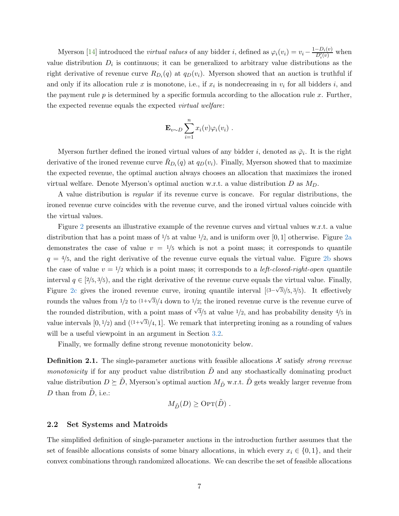Myerson [\[14](#page-23-0)] introduced the *virtual values* of any bidder *i*, defined as  $\varphi_i(v_i) = v_i - \frac{1 - D_i(v)}{D'_i(v)}$  when value distribution  $D_i$  is continuous; it can be generalized to arbitrary value distributions as the right derivative of revenue curve  $R_{D_i}(q)$  at  $q_D(v_i)$ . Myerson showed that an auction is truthful if and only if its allocation rule x is monotone, i.e., if  $x_i$  is nondecreasing in  $v_i$  for all bidders i, and the payment rule  $p$  is determined by a specific formula according to the allocation rule  $x$ . Further, the expected revenue equals the expected virtual welfare:

$$
\mathbf{E}_{v \sim D} \sum_{i=1}^n x_i(v) \varphi_i(v_i) .
$$

Myerson further defined the ironed virtual values of any bidder i, denoted as  $\bar{\varphi}_i$ . It is the right derivative of the ironed revenue curve  $\bar{R}_{D_i}(q)$  at  $q_D(v_i)$ . Finally, Myerson showed that to maximize the expected revenue, the optimal auction always chooses an allocation that maximizes the ironed virtual welfare. Denote Myerson's optimal auction w.r.t. a value distribution D as  $M_D$ .

A value distribution is regular if its revenue curve is concave. For regular distributions, the ironed revenue curve coincides with the revenue curve, and the ironed virtual values coincide with the virtual values.

Figure [2](#page-8-0) presents an illustrative example of the revenue curves and virtual values w.r.t. a value distribution that has a point mass of  $\frac{1}{5}$  at value  $\frac{1}{2}$ , and is uniform over [0, 1] otherwise. Figure [2a](#page-8-0) demonstrates the case of value  $v = 1/5$  which is not a point mass; it corresponds to quantile  $q = 4/5$ , and the right derivative of the revenue curve equals the virtual value. Figure [2b](#page-8-0) shows the case of value  $v = 1/2$  which is a point mass; it corresponds to a *left-closed-right-open* quantile interval  $q \in [2/5, 3/5)$ , and the right derivative of the revenue curve equals the virtual value. Finally, Figure [2c](#page-8-0) gives the ironed revenue curve, ironing quantile interval  $(3-\sqrt{3})/5$ , 3/5). It effectively rounds the values from  $\frac{1}{2}$  to  $\frac{(1+\sqrt{3})}{4}$  down to  $\frac{1}{2}$ ; the ironed revenue curve is the revenue curve of the rounded distribution, with a point mass of  $\sqrt{3}/5$  at value  $1/2$ , and has probability density  $4/5$  in value intervals  $[0, 1/2)$  and  $(1+\sqrt{3})/4$ , 1. We remark that interpreting ironing as a rounding of values will be a useful viewpoint in an argument in Section [3.2.](#page-13-0)

Finally, we formally define strong revenue monotonicity below.

**Definition 2.1.** The single-parameter auctions with feasible allocations  $\mathcal{X}$  satisfy *strong revenue monotonicity* if for any product value distribution  $D$  and any stochastically dominating product value distribution  $D \succeq \tilde{D}$ , Myerson's optimal auction  $M_{\tilde{D}}$  w.r.t.  $\tilde{D}$  gets weakly larger revenue from D than from  $\tilde{D}$ , i.e.:

$$
M_{\tilde{D}}(D) \geq \text{OPT}(\tilde{D}) \ .
$$

### 2.2 Set Systems and Matroids

The simplified definition of single-parameter auctions in the introduction further assumes that the set of feasible allocations consists of some binary allocations, in which every  $x_i \in \{0, 1\}$ , and their convex combinations through randomized allocations. We can describe the set of feasible allocations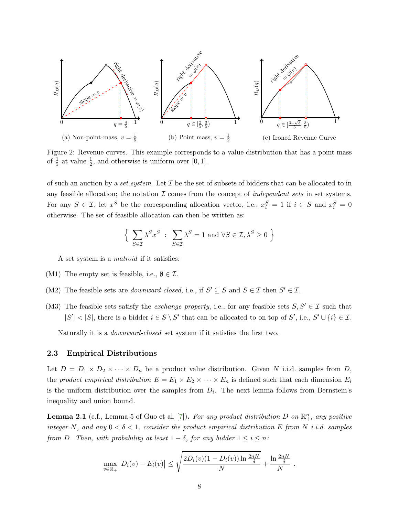<span id="page-8-0"></span>

Figure 2: Revenue curves. This example corresponds to a value distribution that has a point mass of  $\frac{1}{5}$  at value  $\frac{1}{2}$ , and otherwise is uniform over [0, 1].

of such an auction by a set system. Let  $\mathcal I$  be the set of subsets of bidders that can be allocated to in any feasible allocation; the notation  $\mathcal I$  comes from the concept of *independent sets* in set systems. For any  $S \in \mathcal{I}$ , let  $x^S$  be the corresponding allocation vector, i.e.,  $x_i^S = 1$  if  $i \in S$  and  $x_i^S = 0$ otherwise. The set of feasible allocation can then be written as:

$$
\Big\{ \sum_{S \in \mathcal{I}} \lambda^S x^S \; : \; \sum_{S \in \mathcal{I}} \lambda^S = 1 \text{ and } \forall S \in \mathcal{I}, \lambda^S \ge 0 \; \Big\}
$$

A set system is a matroid if it satisfies:

- (M1) The empty set is feasible, i.e.,  $\emptyset \in \mathcal{I}$ .
- (M2) The feasible sets are *downward-closed*, i.e., if  $S' \subseteq S$  and  $S \in \mathcal{I}$  then  $S' \in \mathcal{I}$ .
- (M3) The feasible sets satisfy the *exchange property*, i.e., for any feasible sets  $S, S' \in \mathcal{I}$  such that  $|S'| < |S|$ , there is a bidder  $i \in S \setminus S'$  that can be allocated to on top of S', i.e.,  $S' \cup \{i\} \in \mathcal{I}$ .

Naturally it is a downward-closed set system if it satisfies the first two.

### 2.3 Empirical Distributions

Let  $D = D_1 \times D_2 \times \cdots \times D_n$  be a product value distribution. Given N i.i.d. samples from D, the product empirical distribution  $E = E_1 \times E_2 \times \cdots \times E_n$  is defined such that each dimension  $E_i$ is the uniform distribution over the samples from  $D_i$ . The next lemma follows from Bernstein's inequality and union bound.

**Lemma 2.1** (c.f., Lemma 5 of Guo et al. [\[7](#page-22-0)]). For any product distribution D on  $\mathbb{R}^n_+$ , any positive integer N, and any  $0 < \delta < 1$ , consider the product empirical distribution E from N i.i.d. samples from D. Then, with probability at least  $1 - \delta$ , for any bidder  $1 \leq i \leq n$ :

$$
\max_{v \in \mathbb{R}_+} |D_i(v) - E_i(v)| \le \sqrt{\frac{2D_i(v)(1 - D_i(v)) \ln \frac{2nN}{\delta}}{N}} + \frac{\ln \frac{2nN}{\delta}}{N}.
$$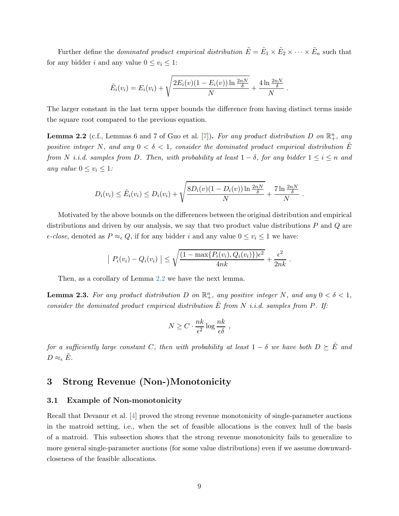Further define the *dominated product empirical distribution*  $\tilde{E} = \tilde{E}_1 \times \tilde{E}_2 \times \cdots \times \tilde{E}_n$  such that for any bidder i and any value  $0 \le v_i \le 1$ :

$$
\tilde{E}_i(v_i) = E_i(v_i) + \sqrt{\frac{2E_i(v)(1 - E_i(v)) \ln \frac{2nN}{\delta}}{N}} + \frac{4 \ln \frac{2nN}{\delta}}{N}.
$$

The larger constant in the last term upper bounds the difference from having distinct terms inside the square root compared to the previous equation.

<span id="page-9-1"></span>**Lemma 2.2** (c.f., Lemmas 6 and 7 of Guo et al. [\[7\]](#page-22-0)). For any product distribution D on  $\mathbb{R}^n_+$ , any positive integer N, and any  $0 < \delta < 1$ , consider the dominated product empirical distribution  $\tilde{E}$ from N i.i.d. samples from D. Then, with probability at least  $1 - \delta$ , for any bidder  $1 \leq i \leq n$  and any value  $0 \le v_i \le 1$ :

$$
D_i(v_i) \leq \tilde{E}_i(v_i) \leq D_i(v_i) + \sqrt{\frac{8D_i(v)(1 - D_i(v)) \ln \frac{2nN}{\delta}}{N}} + \frac{7 \ln \frac{2nN}{\delta}}{N}.
$$

Motivated by the above bounds on the differences between the original distribution and empirical distributions and driven by our analysis, we say that two product value distributions  $P$  and  $Q$  are  $\epsilon$ -close, denoted as  $P \approx_{\epsilon} Q$ , if for any bidder i and any value  $0 \le v_i \le 1$  we have:

$$
|P_i(v_i) - Q_i(v_i)| \le \sqrt{\frac{(1 - \max\{P_i(v_i), Q_i(v_i)\})\epsilon^2}{4nk}} + \frac{\epsilon^2}{2nk}.
$$

Then, as a corollary of Lemma [2.2](#page-9-1) we have the next lemma.

**Lemma 2.3.** For any product distribution D on  $\mathbb{R}^n_+$ , any positive integer N, and any  $0 < \delta < 1$ , consider the dominated product empirical distribution  $\tilde{E}$  from N i.i.d. samples from P. If:

$$
N \ge C \cdot \frac{nk}{\epsilon^2} \log \frac{nk}{\epsilon \delta} ,
$$

for a sufficiently large constant C, then with probability at least  $1 - \delta$  we have both  $D \succeq \tilde{E}$  and  $D \approx_{\epsilon} E$ .

# <span id="page-9-0"></span>3 Strong Revenue (Non-)Monotonicity

### 3.1 Example of Non-monotonicity

Recall that Devanur et al. [\[4](#page-22-1)] proved the strong revenue monotonicity of single-parameter auctions in the matroid setting, i.e., when the set of feasible allocations is the convex hull of the basis of a matroid. This subsection shows that the strong revenue monotonicity fails to generalize to more general single-parameter auctions (for some value distributions) even if we assume downwardcloseness of the feasible allocations.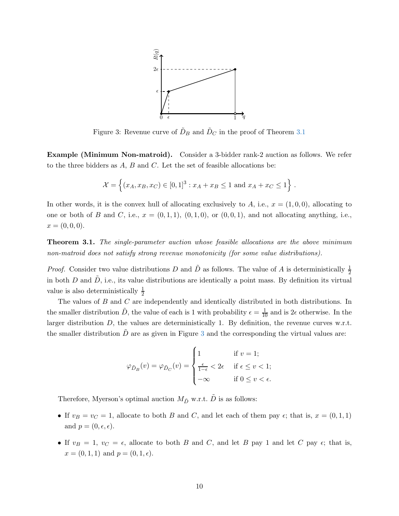<span id="page-10-1"></span>

Figure 3: Revenue curve of  $\tilde{D}_B$  and  $\tilde{D}_C$  in the proof of Theorem [3.1](#page-10-0)

Example (Minimum Non-matroid). Consider a 3-bidder rank-2 auction as follows. We refer to the three bidders as  $A, B$  and  $C$ . Let the set of feasible allocations be:

$$
\mathcal{X} = \left\{ (x_A, x_B, x_C) \in [0, 1]^3 : x_A + x_B \le 1 \text{ and } x_A + x_C \le 1 \right\}.
$$

In other words, it is the convex hull of allocating exclusively to A, i.e.,  $x = (1, 0, 0)$ , allocating to one or both of B and C, i.e.,  $x = (0, 1, 1), (0, 1, 0),$  or  $(0, 0, 1),$  and not allocating anything, i.e.,  $x = (0, 0, 0).$ 

<span id="page-10-0"></span>**Theorem 3.1.** The single-parameter auction whose feasible allocations are the above minimum non-matroid does not satisfy strong revenue monotonicity (for some value distributions).

*Proof.* Consider two value distributions D and  $\tilde{D}$  as follows. The value of A is deterministically  $\frac{1}{2}$ in both D and  $\tilde{D}$ , i.e., its value distributions are identically a point mass. By definition its virtual value is also deterministically  $\frac{1}{2}$ 

The values of B and C are independently and identically distributed in both distributions. In the smaller distribution  $\tilde{D}$ , the value of each is 1 with probability  $\epsilon = \frac{1}{10}$  and is  $2\epsilon$  otherwise. In the larger distribution  $D$ , the values are deterministically 1. By definition, the revenue curves w.r.t. the smaller distribution  $\ddot{D}$  are as given in Figure [3](#page-10-1) and the corresponding the virtual values are:

$$
\varphi_{\tilde{D}_{B}}(v) = \varphi_{\tilde{D}_{C}}(v) = \begin{cases} 1 & \text{if } v = 1; \\ \frac{\epsilon}{1-\epsilon} < 2\epsilon & \text{if } \epsilon \leq v < 1; \\ -\infty & \text{if } 0 \leq v < \epsilon. \end{cases}
$$

Therefore, Myerson's optimal auction  $M_{\tilde D}$  w.r.t.  $\tilde D$  is as follows:

- If  $v_B = v_C = 1$ , allocate to both B and C, and let each of them pay  $\epsilon$ ; that is,  $x = (0, 1, 1)$ and  $p = (0, \epsilon, \epsilon)$ .
- If  $v_B = 1$ ,  $v_C = \epsilon$ , allocate to both B and C, and let B pay 1 and let C pay  $\epsilon$ ; that is,  $x = (0, 1, 1)$  and  $p = (0, 1, \epsilon)$ .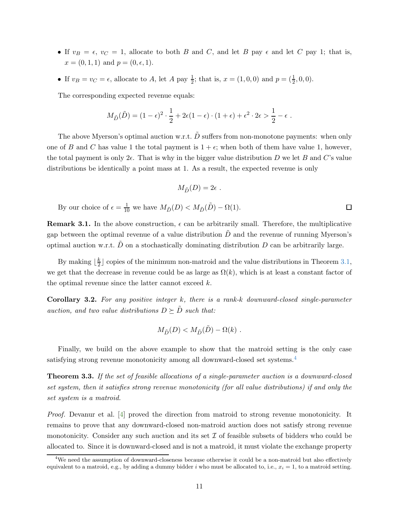- If  $v_B = \epsilon$ ,  $v_C = 1$ , allocate to both B and C, and let B pay  $\epsilon$  and let C pay 1; that is,  $x = (0, 1, 1)$  and  $p = (0, \epsilon, 1)$ .
- If  $v_B = v_C = \epsilon$ , allocate to A, let A pay  $\frac{1}{2}$ ; that is,  $x = (1, 0, 0)$  and  $p = (\frac{1}{2}, 0, 0)$ .

The corresponding expected revenue equals:

$$
M_{\tilde{D}}(\tilde{D})=(1-\epsilon)^2\cdot\frac{1}{2}+2\epsilon(1-\epsilon)\cdot(1+\epsilon)+\epsilon^2\cdot2\epsilon>\frac{1}{2}-\epsilon.
$$

The above Myerson's optimal auction w.r.t.  $\tilde{D}$  suffers from non-monotone payments: when only one of B and C has value 1 the total payment is  $1 + \epsilon$ ; when both of them have value 1, however, the total payment is only  $2\epsilon$ . That is why in the bigger value distribution D we let B and C's value distributions be identically a point mass at 1. As a result, the expected revenue is only

$$
M_{\tilde{D}}(D)=2\epsilon
$$
 .

 $\Box$ 

By our choice of  $\epsilon = \frac{1}{10}$  we have  $M_{\tilde{D}}(D) < M_{\tilde{D}}(\tilde{D}) - \Omega(1)$ .

**Remark 3.1.** In the above construction,  $\epsilon$  can be arbitrarily small. Therefore, the multiplicative gap between the optimal revenue of a value distribution  $\ddot{D}$  and the revenue of running Myerson's optimal auction w.r.t.  $\tilde{D}$  on a stochastically dominating distribution  $D$  can be arbitrarily large.

By making  $\lfloor \frac{k}{2} \rfloor$  $\frac{k}{2}$  copies of the minimum non-matroid and the value distributions in Theorem [3.1,](#page-10-0) we get that the decrease in revenue could be as large as  $\Omega(k)$ , which is at least a constant factor of the optimal revenue since the latter cannot exceed  $k$ .

<span id="page-11-1"></span>Corollary 3.2. For any positive integer k, there is a rank-k downward-closed single-parameter auction, and two value distributions  $D \succeq \tilde{D}$  such that:

$$
M_{\tilde{D}}(D) < M_{\tilde{D}}(\tilde{D}) - \Omega(k) .
$$

Finally, we build on the above example to show that the matroid setting is the only case satisfying strong revenue monotonicity among all downward-closed set systems.[4](#page-11-2)

<span id="page-11-0"></span>Theorem 3.3. If the set of feasible allocations of a single-parameter auction is a downward-closed set system, then it satisfies strong revenue monotonicity (for all value distributions) if and only the set system is a matroid.

Proof. Devanur et al. [\[4](#page-22-1)] proved the direction from matroid to strong revenue monotonicity. It remains to prove that any downward-closed non-matroid auction does not satisfy strong revenue monotonicity. Consider any such auction and its set  $\mathcal I$  of feasible subsets of bidders who could be allocated to. Since it is downward-closed and is not a matroid, it must violate the exchange property

<span id="page-11-2"></span><sup>&</sup>lt;sup>4</sup>We need the assumption of downward-closeness because otherwise it could be a non-matroid but also effectively equivalent to a matroid, e.g., by adding a dummy bidder i who must be allocated to, i.e.,  $x_i = 1$ , to a matroid setting.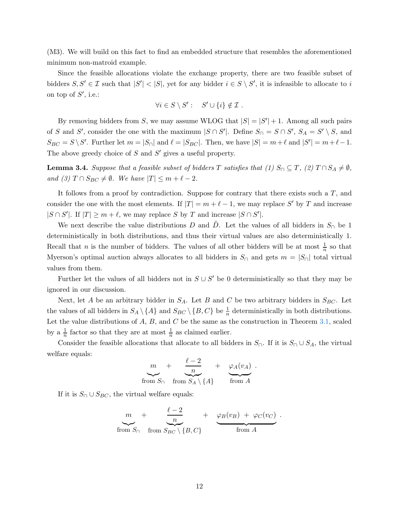(M3). We will build on this fact to find an embedded structure that resembles the aforementioned minimum non-matroid example.

Since the feasible allocations violate the exchange property, there are two feasible subset of bidders  $S, S' \in \mathcal{I}$  such that  $|S'| < |S|$ , yet for any bidder  $i \in S \setminus S'$ , it is infeasible to allocate to i on top of  $S'$ , i.e.:

$$
\forall i \in S \setminus S': \quad S' \cup \{i\} \notin \mathcal{I} \ .
$$

By removing bidders from S, we may assume WLOG that  $|S| = |S'| + 1$ . Among all such pairs of S and S', consider the one with the maximum  $|S \cap S'|$ . Define  $S_{\cap} = S \cap S'$ ,  $S_A = S' \setminus S$ , and  $S_{BC} = S \setminus S'$ . Further let  $m = |S_{\cap}|$  and  $\ell = |S_{BC}|$ . Then, we have  $|S| = m + \ell$  and  $|S'| = m + \ell - 1$ . The above greedy choice of  $S$  and  $S'$  gives a useful property.

<span id="page-12-0"></span>**Lemma 3.4.** Suppose that a feasible subset of bidders T satisfies that (1)  $S_0 \subseteq T$ , (2)  $T \cap S_A \neq \emptyset$ , and (3)  $T \cap S_{BC} \neq \emptyset$ . We have  $|T| \leq m + \ell - 2$ .

It follows from a proof by contradiction. Suppose for contrary that there exists such a  $T$ , and consider the one with the most elements. If  $|T| = m + \ell - 1$ , we may replace S' by T and increase  $|S \cap S'|$ . If  $|T| \ge m + \ell$ , we may replace S by T and increase  $|S \cap S'|$ .

We next describe the value distributions D and  $\tilde{D}$ . Let the values of all bidders in  $S_{\cap}$  be 1 deterministically in both distributions, and thus their virtual values are also deterministically 1. Recall that *n* is the number of bidders. The values of all other bidders will be at most  $\frac{1}{n}$  so that Myerson's optimal auction always allocates to all bidders in  $S_{\cap}$  and gets  $m = |S_{\cap}|$  total virtual values from them.

Further let the values of all bidders not in  $S \cup S'$  be 0 deterministically so that they may be ignored in our discussion.

Next, let A be an arbitrary bidder in  $S_A$ . Let B and C be two arbitrary bidders in  $S_{BC}$ . Let the values of all bidders in  $S_A \setminus \{A\}$  and  $S_{BC} \setminus \{B, C\}$  be  $\frac{1}{n}$  deterministically in both distributions. Let the value distributions of  $A, B$ , and  $C$  be the same as the construction in Theorem [3.1,](#page-10-0) scaled by a  $\frac{1}{n}$  factor so that they are at most  $\frac{1}{n}$  as claimed earlier.

Consider the feasible allocations that allocate to all bidders in  $S_{\cap}$ . If it is  $S_{\cap} \cup S_A$ , the virtual welfare equals:

$$
m + \frac{\ell - 2}{n} + \varphi_A(v_A) .
$$
  
from  $S_0$  from  $S_A \setminus \{A\}$  from A

If it is  $S_{\cap} \cup S_{BC}$ , the virtual welfare equals:

$$
m + \frac{\ell - 2}{n} + \varphi_B(v_B) + \varphi_C(v_C) .
$$
  
from  $S_0$  from  $S_{BC} \setminus \{B, C\}$  from A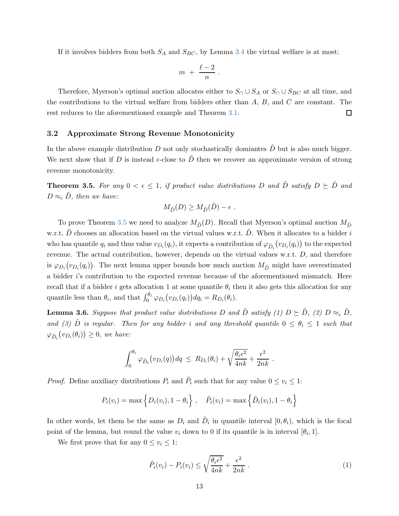If it involves bidders from both  $S_A$  and  $S_{BC}$ , by Lemma [3.4](#page-12-0) the virtual welfare is at most:

$$
m + \frac{\ell-2}{n} \, .
$$

Therefore, Myerson's optimal auction allocates either to  $S_ \cap \cup S_A$  or  $S_ \cap \cup S_{BC}$  at all time, and the contributions to the virtual welfare from bidders other than  $A, B$ , and  $C$  are constant. The  $\Box$ rest reduces to the aforementioned example and Theorem [3.1.](#page-10-0)

### <span id="page-13-0"></span>3.2 Approximate Strong Revenue Monotonicity

In the above example distribution D not only stochastically domiantes  $\tilde{D}$  but is also much bigger. We next show that if D is instead  $\epsilon$ -close to D then we recover an approximate version of strong revenue monotonicity.

<span id="page-13-1"></span>**Theorem 3.5.** For any  $0 < \epsilon \leq 1$ , if product value distributions D and  $\tilde{D}$  satisfy  $D \succeq \tilde{D}$  and  $D \approx_{\epsilon} D$ , then we have:

$$
M_{\tilde{D}}(D) \ge M_{\tilde{D}}(\tilde{D}) - \epsilon \ .
$$

To prove Theorem [3.5](#page-13-1) we need to analyze  $M_{\tilde{D}}(D)$ . Recall that Myerson's optimal auction  $M_{\tilde{D}}$ w.r.t.  $\ddot{D}$  chooses an allocation based on the virtual values w.r.t.  $\ddot{D}$ . When it allocates to a bidder i who has quantile  $q_i$  and thus value  $v_{D_i}(q_i)$ , it expects a contribution of  $\varphi_{\tilde{D}_i}(v_{D_i}(q_i))$  to the expected revenue. The actual contribution, however, depends on the virtual values w.r.t. D, and therefore is  $\varphi_{D_i}(v_{D_i}(q_i))$ . The next lemma upper bounds how much auction  $M_{\tilde{D}}$  might have overestimated a bidder i's contribution to the expected revenue because of the aforementioned mismatch. Here recall that if a bidder i gets allocation 1 at some quantile  $\theta_i$  then it also gets this allocation for any quantile less than  $\theta_i$ , and that  $\int_0^{\theta_i} \varphi_{D_i}(v_{D_i}(q_i)) dq_i = R_{D_i}(\theta_i)$ .

<span id="page-13-3"></span>**Lemma 3.6.** Suppose that product value distributions D and  $\tilde{D}$  satisfy (1)  $D \succeq \tilde{D}$ , (2)  $D \approx_{\epsilon} \tilde{D}$ , and (3) D is regular. Then for any bidder i and any threshold quantile  $0 \le \theta_i \le 1$  such that  $\varphi_{\tilde{D}_i}(v_{D_i}(\theta_i)) \geq 0$ , we have:

$$
\int_0^{\theta_i} \varphi_{\tilde{D}_i} (v_{D_i}(q)) dq \ \leq R_{D_i}(\theta_i) + \sqrt{\frac{\theta_i \epsilon^2}{4nk}} + \frac{\epsilon^2}{2nk} \ .
$$

*Proof.* Define auxiliary distributions  $P_i$  and  $\tilde{P}_i$  such that for any value  $0 \le v_i \le 1$ :

$$
P_i(v_i) = \max \left\{ D_i(v_i), 1 - \theta_i \right\}, \quad \tilde{P}_i(v_i) = \max \left\{ \tilde{D}_i(v_i), 1 - \theta_i \right\}
$$

In other words, let them be the same as  $D_i$  and  $\tilde{D}_i$  in quantile interval  $[0, \theta_i)$ , which is the focal point of the lemma, but round the value  $v_i$  down to 0 if its quantile is in interval  $[\theta_i, 1]$ .

We first prove that for any  $0 \le v_i \le 1$ :

<span id="page-13-2"></span>
$$
\tilde{P}_i(v_i) - P_i(v_i) \le \sqrt{\frac{\theta_i \epsilon^2}{4nk}} + \frac{\epsilon^2}{2nk} \ . \tag{1}
$$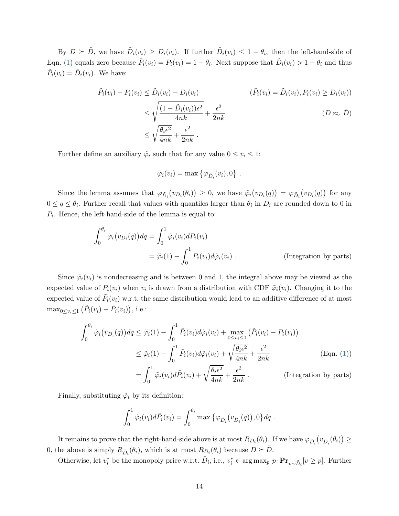By  $D \succeq \tilde{D}$ , we have  $\tilde{D}_i(v_i) \geq D_i(v_i)$ . If further  $\tilde{D}_i(v_i) \leq 1 - \theta_i$ , then the left-hand-side of Eqn. [\(1\)](#page-13-2) equals zero because  $\tilde{P}_i(v_i) = P_i(v_i) = 1 - \theta_i$ . Next suppose that  $\tilde{D}_i(v_i) > 1 - \theta_i$  and thus  $\tilde{P}_i(v_i) = \tilde{D}_i(v_i)$ . We have:

$$
\tilde{P}_i(v_i) - P_i(v_i) \le \tilde{D}_i(v_i) - D_i(v_i)
$$
\n
$$
\le \sqrt{\frac{(1 - \tilde{D}_i(v_i))\epsilon^2}{4nk}} + \frac{\epsilon^2}{2nk}
$$
\n
$$
\le \sqrt{\frac{\theta_i \epsilon^2}{4nk}} + \frac{\epsilon^2}{2nk}
$$
\n
$$
(D \approx_{\epsilon} \tilde{D})
$$
\n
$$
\le \sqrt{\frac{\theta_i \epsilon^2}{4nk}} + \frac{\epsilon^2}{2nk}
$$

.

Further define an auxiliary  $\tilde{\varphi}_i$  such that for any value  $0 \le v_i \le 1$ :

$$
\tilde{\varphi}_i(v_i) = \max \left\{ \varphi_{\tilde{D}_i}(v_i), 0 \right\}
$$

Since the lemma assumes that  $\varphi_{\tilde{D}_i}(v_{D_i}(\theta_i)) \geq 0$ , we have  $\tilde{\varphi}_i(v_{D_i}(q)) = \varphi_{\tilde{D}_i}(v_{D_i}(q))$  for any  $0 \le q \le \theta_i$ . Further recall that values with quantiles larger than  $\theta_i$  in  $D_i$  are rounded down to 0 in  $P_i$ . Hence, the left-hand-side of the lemma is equal to:

$$
\int_0^{\theta_i} \tilde{\varphi}_i(v_{D_i}(q)) dq = \int_0^1 \tilde{\varphi}_i(v_i) dP_i(v_i)
$$
  
=  $\tilde{\varphi}_i(1) - \int_0^1 P_i(v_i) d\tilde{\varphi}_i(v_i)$ . (Integration by parts)

Since  $\tilde{\varphi}_i(v_i)$  is nondecreasing and is between 0 and 1, the integral above may be viewed as the expected value of  $P_i(v_i)$  when  $v_i$  is drawn from a distribution with CDF  $\tilde{\varphi}_i(v_i)$ . Changing it to the expected value of  $\tilde{P}_i(v_i)$  w.r.t. the same distribution would lead to an additive difference of at most  $\max_{0 \le v_i \le 1} (\tilde{P}_i(v_i) - P_i(v_i)),$  i.e.:

$$
\int_0^{\theta_i} \tilde{\varphi}_i(v_{D_i}(q)) dq \leq \tilde{\varphi}_i(1) - \int_0^1 \tilde{P}_i(v_i) d\tilde{\varphi}_i(v_i) + \max_{0 \leq v_i \leq 1} (\tilde{P}_i(v_i) - P_i(v_i))
$$
  
\n
$$
\leq \tilde{\varphi}_i(1) - \int_0^1 \tilde{P}_i(v_i) d\tilde{\varphi}_i(v_i) + \sqrt{\frac{\theta_i \epsilon^2}{4nk}} + \frac{\epsilon^2}{2nk}
$$
 (Eqn. (1))  
\n
$$
= \int_0^1 \tilde{\varphi}_i(v_i) d\tilde{P}_i(v_i) + \sqrt{\frac{\theta_i \epsilon^2}{4nk}} + \frac{\epsilon^2}{2nk}.
$$
 (Integration by parts)

Finally, substituting  $\tilde{\varphi}_i$  by its definition:

0

$$
\int_0^1 \tilde{\varphi}_i(v_i) d\tilde{P}_i(v_i) = \int_0^{\theta_i} \max \{ \varphi_{\tilde{D}_i}(v_{\tilde{D}_i}(q)), 0 \} dq.
$$

It remains to prove that the right-hand-side above is at most  $R_{D_i}(\theta_i)$ . If we have  $\varphi_{\tilde{D}_i}(v_{\tilde{D}_i}(\theta_i)) \ge$ 0, the above is simply  $R_{\tilde{D}_i}(\theta_i)$ , which is at most  $R_{D_i}(\theta_i)$  because  $D \succeq \tilde{D}$ .

Otherwise, let  $v_i^*$  be the monopoly price w.r.t.  $\tilde{D}_i$ , i.e.,  $v_i^* \in \arg \max_p p \cdot \mathbf{Pr}_{v \sim \tilde{D}_i}[v \geq p]$ . Further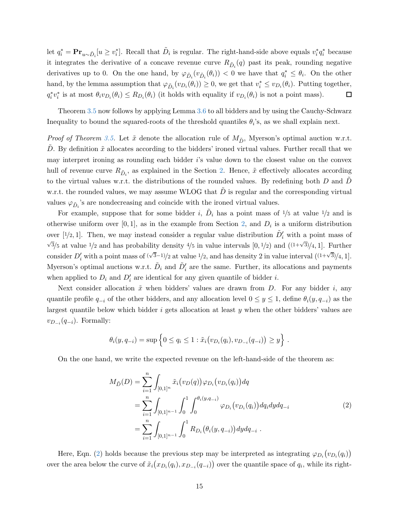let  $q_i^* = \mathbf{Pr}_{u \sim \tilde{D}_i} [u \ge v_i^*]$ . Recall that  $\tilde{D}_i$  is regular. The right-hand-side above equals  $v_i^* q_i^*$  because it integrates the derivative of a concave revenue curve  $R_{\tilde{D}_i}(q)$  past its peak, rounding negative derivatives up to 0. On the one hand, by  $\varphi_{\tilde{D}_i}(v_{\tilde{D}_i}(\theta_i)) < 0$  we have that  $q_i^* \leq \theta_i$ . On the other hand, by the lemma assumption that  $\varphi_{\tilde{D}_i}(v_{D_i}(\theta_i)) \ge 0$ , we get that  $v_i^* \le v_{D_i}(\theta_i)$ . Putting together,  $q_i^* v_i^*$  is at most  $\theta_i v_{D_i}(\theta_i) \le R_{D_i}(\theta_i)$  (it holds with equality if  $v_{D_i}(\theta_i)$  is not a point mass).  $\Box$ 

Theorem [3.5](#page-13-1) now follows by applying Lemma [3.6](#page-13-3) to all bidders and by using the Cauchy-Schwarz Inequality to bound the squared-roots of the threshold quantiles  $\theta_i$ 's, as we shall explain next.

*Proof of Theorem [3.5.](#page-13-1)* Let  $\tilde{x}$  denote the allocation rule of  $M_{\tilde{D}}$ , Myerson's optimal auction w.r.t. D. By definition  $\tilde{x}$  allocates according to the bidders' ironed virtual values. Further recall that we may interpret ironing as rounding each bidder i's value down to the closest value on the convex hull of revenue curve  $R_{\tilde{D}_i}$ , as explained in the Section [2.](#page-5-0) Hence,  $\tilde{x}$  effectively allocates according to the virtual values w.r.t. the distributions of the rounded values. By redefining both  $D$  and  $D$ w.r.t. the rounded values, we may assume WLOG that  $\ddot{D}$  is regular and the corresponding virtual values  $\varphi_{\tilde{D}_i}$ 's are nondecreasing and coincide with the ironed virtual values.

For example, suppose that for some bidder i,  $\tilde{D}_i$  has a point mass of  $1/5$  at value  $1/2$  and is otherwise uniform over [0,1], as in the example from Section [2,](#page-5-0) and  $D_i$  is a uniform distribution over [1/2, 1]. Then, we may instead consider a regular value distribution  $\tilde{D}'_i$  with a point mass of  $\sqrt{3}/5$  at value 1/2 and has probability density 4/5 in value intervals  $[0, 1/2)$  and  $((1+\sqrt{3})/4, 1]$ . Further consider  $D'_i$  with a point mass of  $(\sqrt{3}-1)/2$  at value  $1/2$ , and has density 2 in value interval  $((1+\sqrt{3})/4, 1]$ . Myerson's optimal auctions w.r.t.  $\tilde{D}_i$  and  $\tilde{D}'_i$  are the same. Further, its allocations and payments when applied to  $D_i$  and  $D'_i$  are identical for any given quantile of bidder i.

Next consider allocation  $\tilde{x}$  when bidders' values are drawn from D. For any bidder i, any quantile profile  $q_{-i}$  of the other bidders, and any allocation level  $0 \leq y \leq 1$ , define  $\theta_i(y, q_{-i})$  as the largest quantile below which bidder  $i$  gets allocation at least  $y$  when the other bidders' values are  $v_{D_{-i}}(q_{-i})$ . Formally:

$$
\theta_i(y, q_{-i}) = \sup \{ 0 \le q_i \le 1 : \tilde{x}_i(v_{D_i}(q_i), v_{D_{-i}}(q_{-i})) \ge y \}.
$$

On the one hand, we write the expected revenue on the left-hand-side of the theorem as:

<span id="page-15-0"></span>
$$
M_{\tilde{D}}(D) = \sum_{i=1}^{n} \int_{[0,1]^{n}} \tilde{x}_{i}(v_{D}(q)) \varphi_{D_{i}}(v_{D_{i}}(q_{i})) dq
$$
  
\n
$$
= \sum_{i=1}^{n} \int_{[0,1]^{n-1}} \int_{0}^{1} \int_{0}^{\theta_{i}(y,q_{-i})} \varphi_{D_{i}}(v_{D_{i}}(q_{i})) dq_{i} dy dq_{-i}
$$
  
\n
$$
= \sum_{i=1}^{n} \int_{[0,1]^{n-1}} \int_{0}^{1} R_{D_{i}}(\theta_{i}(y,q_{-i})) dy dq_{-i} .
$$
\n(2)

Here, Eqn. [\(2\)](#page-15-0) holds because the previous step may be interpreted as integrating  $\varphi_{D_i}(v_{D_i}(q_i))$ over the area below the curve of  $\tilde{x}_i(x_{D_i}(q_i), x_{D_{-i}}(q_{-i}))$  over the quantile space of  $q_i$ , while its right-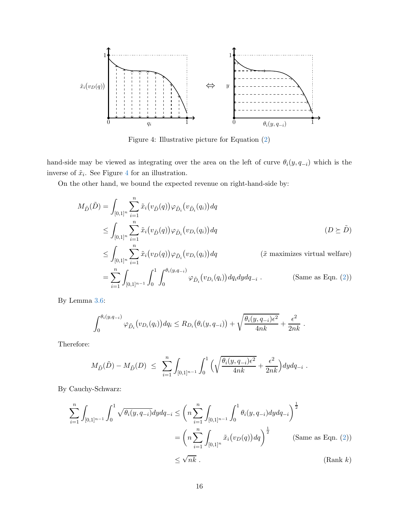<span id="page-16-0"></span>

Figure 4: Illustrative picture for Equation [\(2\)](#page-15-0)

hand-side may be viewed as integrating over the area on the left of curve  $\theta_i(y, q_{-i})$  which is the inverse of  $\tilde{x}_i$ . See Figure [4](#page-16-0) for an illustration.

On the other hand, we bound the expected revenue on right-hand-side by:

$$
M_{\tilde{D}}(\tilde{D}) = \int_{[0,1]^n} \sum_{i=1}^n \tilde{x}_i(v_{\tilde{D}}(q)) \varphi_{\tilde{D}_i}(v_{\tilde{D}_i}(q_i)) dq
$$
  
\n
$$
\leq \int_{[0,1]^n} \sum_{i=1}^n \tilde{x}_i(v_{\tilde{D}}(q)) \varphi_{\tilde{D}_i}(v_{D_i}(q_i)) dq
$$
 (*D*  $\geq \tilde{D}$ )  
\n
$$
\leq \int_{[0,1]^n} \sum_{i=1}^n \tilde{x}_i(v_{D}(q)) \varphi_{\tilde{D}_i}(v_{D_i}(q_i)) dq
$$
 (*\tilde{x}* maximizes virtual welfare)  
\n
$$
= \sum_{i=1}^n \int_{[0,1]^{n-1}} \int_0^1 \int_0^{\theta_i(y,q_{-i})} \varphi_{\tilde{D}_i}(v_{D_i}(q_i)) dq_i dy dq_{-i}.
$$
 (Same as Eqn. (2))

By Lemma [3.6:](#page-13-3)

$$
\int_0^{\theta_i(y,q_{-i})} \varphi_{\tilde{D}_i}(v_{D_i}(q_i)) dq_i \leq R_{D_i}(\theta_i(y,q_{-i})) + \sqrt{\frac{\theta_i(y,q_{-i})\epsilon^2}{4nk}} + \frac{\epsilon^2}{2nk}.
$$

Therefore:

$$
M_{\tilde{D}}(\tilde{D}) - M_{\tilde{D}}(D) \leq \sum_{i=1}^n \int_{[0,1]^{n-1}} \int_0^1 \Big( \sqrt{\frac{\theta_i(y, q_{-i})\epsilon^2}{4nk}} + \frac{\epsilon^2}{2nk} \Big) dy dq_{-i} .
$$

By Cauchy-Schwarz:

$$
\sum_{i=1}^{n} \int_{[0,1]^{n-1}} \int_{0}^{1} \sqrt{\theta_{i}(y, q_{-i})} dy dq_{-i} \leq \left( n \sum_{i=1}^{n} \int_{[0,1]^{n-1}} \int_{0}^{1} \theta_{i}(y, q_{-i}) dy dq_{-i} \right)^{\frac{1}{2}}
$$
\n
$$
= \left( n \sum_{i=1}^{n} \int_{[0,1]^{n}} \tilde{x}_{i}(v_D(q)) dq \right)^{\frac{1}{2}} \qquad \text{(Same as Eqn. (2))}
$$
\n
$$
\leq \sqrt{n k} . \qquad \text{(Rank } k)
$$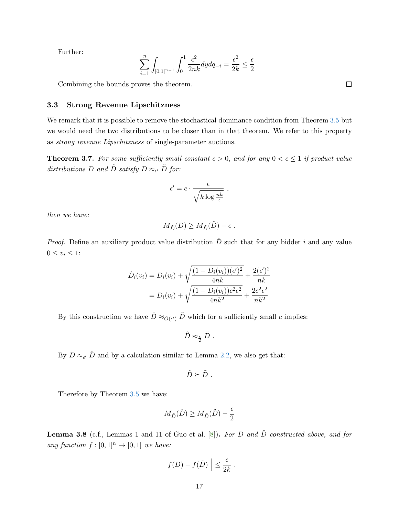Further:

$$
\sum_{i=1}^{n} \int_{[0,1]^{n-1}} \int_0^1 \frac{\epsilon^2}{2nk} dy dq_{-i} = \frac{\epsilon^2}{2k} \le \frac{\epsilon}{2} .
$$

Combining the bounds proves the theorem.

### 3.3 Strong Revenue Lipschitzness

We remark that it is possible to remove the stochastical dominance condition from Theorem [3.5](#page-13-1) but we would need the two distributions to be closer than in that theorem. We refer to this property as strong revenue Lipschitzness of single-parameter auctions.

<span id="page-17-0"></span>**Theorem 3.7.** For some sufficiently small constant  $c > 0$ , and for any  $0 < \epsilon \leq 1$  if product value distributions D and  $\tilde{D}$  satisfy  $D \approx_{\epsilon'} \tilde{D}$  for:

$$
\epsilon' = c \cdot \frac{\epsilon}{\sqrt{k \log \frac{nk}{\epsilon}}},
$$

then we have:

$$
M_{\tilde{D}}(D) \ge M_{\tilde{D}}(\tilde{D}) - \epsilon.
$$

*Proof.* Define an auxiliary product value distribution  $\hat{D}$  such that for any bidder i and any value  $0 \leq v_i \leq 1$ :

$$
\hat{D}_i(v_i) = D_i(v_i) + \sqrt{\frac{(1 - D_i(v_i))(\epsilon')^2}{4nk}} + \frac{2(\epsilon')^2}{nk} \n= D_i(v_i) + \sqrt{\frac{(1 - D_i(v_i))c^2\epsilon^2}{4nk^2}} + \frac{2c^2\epsilon^2}{nk^2}
$$

By this construction we have  $\hat{D} \approx_{O(\epsilon')} \tilde{D}$  which for a sufficiently small c implies:

$$
\hat{D}\approx_{\frac{\epsilon}{2}}\tilde{D} \ .
$$

By  $D \approx_{\epsilon'} \hat{D}$  and by a calculation similar to Lemma [2.2,](#page-9-1) we also get that:

$$
\hat{D}\succeq \tilde{D} .
$$

Therefore by Theorem [3.5](#page-13-1) we have:

$$
M_{\tilde{D}}(\hat{D}) \ge M_{\tilde{D}}(\tilde{D}) - \frac{\epsilon}{2}
$$

**Lemma 3.8** (c.f., Lemmas 1 and 11 of Guo et al.  $[8]$ ). For D and  $\hat{D}$  constructed above, and for any function  $f : [0,1]^n \to [0,1]$  we have:

$$
\left| f(D) - f(\hat{D}) \right| \leq \frac{\epsilon}{2k} .
$$

 $\Box$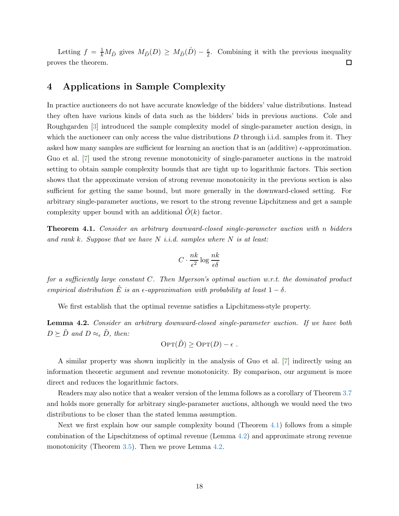Letting  $f = \frac{1}{k} M_{\tilde{D}}$  gives  $M_{\tilde{D}}(D) \geq M_{\tilde{D}}(\tilde{D}) - \frac{\epsilon}{2}$ . Combining it with the previous inequality proves the theorem.  $\Box$ 

# 4 Applications in Sample Complexity

In practice auctioneers do not have accurate knowledge of the bidders' value distributions. Instead they often have various kinds of data such as the bidders' bids in previous auctions. Cole and Roughgarden [\[3](#page-22-2)] introduced the sample complexity model of single-parameter auction design, in which the auctioneer can only access the value distributions  $D$  through i.i.d. samples from it. They asked how many samples are sufficient for learning an auction that is an (additive)  $\epsilon$ -approximation. Guo et al. [\[7](#page-22-0)] used the strong revenue monotonicity of single-parameter auctions in the matroid setting to obtain sample complexity bounds that are tight up to logarithmic factors. This section shows that the approximate version of strong revenue monotonicity in the previous section is also sufficient for getting the same bound, but more generally in the downward-closed setting. For arbitrary single-parameter auctions, we resort to the strong revenue Lipchitzness and get a sample complexity upper bound with an additional  $\tilde{O}(k)$  factor.

<span id="page-18-0"></span>Theorem 4.1. Consider an arbitrary downward-closed single-parameter auction with n bidders and rank k. Suppose that we have  $N$  i.i.d. samples where  $N$  is at least:

$$
C \cdot \frac{nk}{\epsilon^2} \log \frac{nk}{\epsilon \delta}
$$

for a sufficiently large constant C. Then Myerson's optimal auction w.r.t. the dominated product empirical distribution  $\tilde{E}$  is an  $\epsilon$ -approximation with probability at least  $1 - \delta$ .

We first establish that the optimal revenue satisfies a Lipchitzness-style property.

<span id="page-18-1"></span>Lemma 4.2. Consider an arbitrary downward-closed single-parameter auction. If we have both  $D \succeq \tilde{D}$  and  $D \approx_{\epsilon} \tilde{D}$ , then:

$$
\text{OPT}(\tilde{D}) \geq \text{OPT}(D) - \epsilon.
$$

A similar property was shown implicitly in the analysis of Guo et al. [\[7](#page-22-0)] indirectly using an information theoretic argument and revenue monotonicity. By comparison, our argument is more direct and reduces the logarithmic factors.

Readers may also notice that a weaker version of the lemma follows as a corollary of Theorem [3.7](#page-17-0) and holds more generally for arbitrary single-parameter auctions, although we would need the two distributions to be closer than the stated lemma assumption.

Next we first explain how our sample complexity bound (Theorem [4.1\)](#page-18-0) follows from a simple combination of the Lipschitzness of optimal revenue (Lemma [4.2\)](#page-18-1) and approximate strong revenue monotonicity (Theorem [3.5\)](#page-13-1). Then we prove Lemma [4.2.](#page-18-1)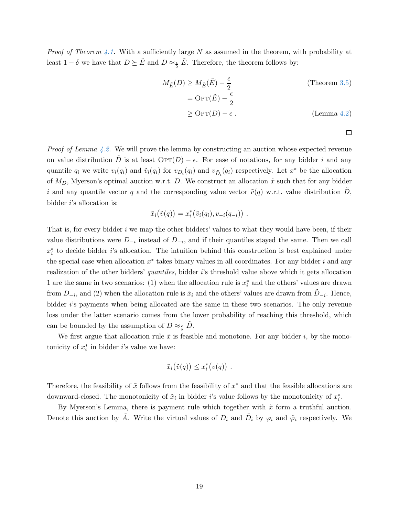*Proof of Theorem [4.1.](#page-18-0)* With a sufficiently large N as assumed in the theorem, with probability at least  $1 - \delta$  we have that  $D \succeq \tilde{E}$  and  $D \approx_{\frac{\epsilon}{2}} \tilde{E}$ . Therefore, the theorem follows by:

$$
M_{\tilde{E}}(D) \ge M_{\tilde{E}}(\tilde{E}) - \frac{\epsilon}{2}
$$
 (Theorem 3.5)  
=  $\text{OPT}(\tilde{E}) - \frac{\epsilon}{2}$   

$$
\ge \text{OPT}(D) - \epsilon.
$$
 (Lemma 4.2)

.

 $\Box$ 

*Proof of Lemma [4.2.](#page-18-1)* We will prove the lemma by constructing an auction whose expected revenue on value distribution D is at least  $\text{OPT}(D) - \epsilon$ . For ease of notations, for any bidder i and any quantile  $q_i$  we write  $v_i(q_i)$  and  $\tilde{v}_i(q_i)$  for  $v_{D_i}(q_i)$  and  $v_{\tilde{D}_i}(q_i)$  respectively. Let  $x^*$  be the allocation of  $M_D$ , Myerson's optimal auction w.r.t. D. We construct an allocation  $\tilde{x}$  such that for any bidder i and any quantile vector q and the corresponding value vector  $\tilde{v}(q)$  w.r.t. value distribution D, bidder  $i$ 's allocation is:

$$
\tilde{x}_i(\tilde{v}(q)) = x_i^*(\tilde{v}_i(q_i), v_{-i}(q_{-i}))
$$

That is, for every bidder i we map the other bidders' values to what they would have been, if their value distributions were  $D_{-i}$  instead of  $\tilde{D}_{-i}$ , and if their quantiles stayed the same. Then we call  $x_i^*$  to decide bidder *i*'s allocation. The intuition behind this construction is best explained under the special case when allocation  $x^*$  takes binary values in all coordinates. For any bidder i and any realization of the other bidders' quantiles, bidder i's threshold value above which it gets allocation 1 are the same in two scenarios: (1) when the allocation rule is  $x_i^*$  and the others' values are drawn from  $D_{-i}$ , and (2) when the allocation rule is  $\tilde{x}_i$  and the others' values are drawn from  $\tilde{D}_{-i}$ . Hence, bidder *i*'s payments when being allocated are the same in these two scenarios. The only revenue loss under the latter scenario comes from the lower probability of reaching this threshold, which can be bounded by the assumption of  $D \approx_{\frac{\epsilon}{2}} \tilde{D}$ .

We first argue that allocation rule  $\tilde{x}$  is feasible and monotone. For any bidder i, by the monotonicity of  $x_i^*$  in bidder *i*'s value we have:

$$
\tilde{x}_i(\tilde{v}(q)) \leq x_i^*(v(q)) .
$$

Therefore, the feasibility of  $\tilde{x}$  follows from the feasibility of  $x^*$  and that the feasible allocations are downward-closed. The monotonicity of  $\tilde{x}_i$  in bidder *i*'s value follows by the monotonicity of  $x_i^*$ .

By Myerson's Lemma, there is payment rule which together with  $\tilde{x}$  form a truthful auction. Denote this auction by  $\tilde{A}$ . Write the virtual values of  $D_i$  and  $\tilde{D}_i$  by  $\varphi_i$  and  $\tilde{\varphi}_i$  respectively. We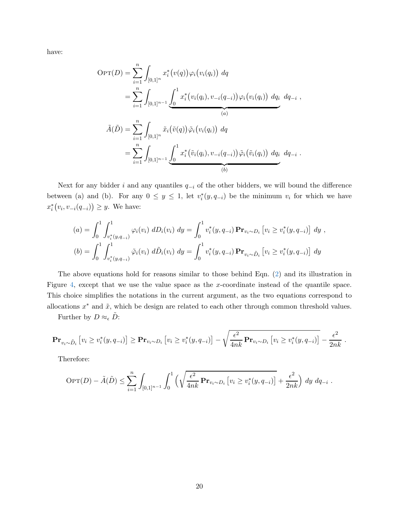have:

$$
OPT(D) = \sum_{i=1}^{n} \int_{[0,1]^{n}} x_{i}^{*}(v(q)) \varphi_{i}(v_{i}(q_{i})) dq
$$
  
\n
$$
= \sum_{i=1}^{n} \int_{[0,1]^{n-1}} \underbrace{\int_{0}^{1} x_{i}^{*}(v_{i}(q_{i}), v_{-i}(q_{-i})) \varphi_{i}(v_{i}(q_{i})) dq_{i} dq_{-i}}_{(a)},
$$
  
\n
$$
\tilde{A}(\tilde{D}) = \sum_{i=1}^{n} \int_{[0,1]^{n}} \tilde{x}_{i}(\tilde{v}(q)) \tilde{\varphi}_{i}(v_{i}(q_{i})) dq
$$
  
\n
$$
= \sum_{i=1}^{n} \int_{[0,1]^{n-1}} \underbrace{\int_{0}^{1} x_{i}^{*}(\tilde{v}_{i}(q_{i}), v_{-i}(q_{-i})) \tilde{\varphi}_{i}(\tilde{v}_{i}(q_{i})) dq_{i} dq_{-i}}_{(b)}.
$$

Next for any bidder i and any quantiles  $q_{-i}$  of the other bidders, we will bound the difference between (a) and (b). For any  $0 \leq y \leq 1$ , let  $v_i^*(y, q_{-i})$  be the minimum  $v_i$  for which we have  $x_i^*(v_i, v_{-i}(q_{-i})) \geq y$ . We have:

$$
(a) = \int_0^1 \int_{v_i^*(y, q_{-i})}^1 \varphi_i(v_i) \ dD_i(v_i) \ dy = \int_0^1 v_i^*(y, q_{-i}) \ \mathbf{Pr}_{v_i \sim D_i} \left[ v_i \ge v_i^*(y, q_{-i}) \right] \ dy \ ,
$$
  
\n
$$
(b) = \int_0^1 \int_{v_i^*(y, q_{-i})}^1 \tilde{\varphi}_i(v_i) \ d\tilde{D}_i(v_i) \ dy = \int_0^1 v_i^*(y, q_{-i}) \mathbf{Pr}_{v_i \sim \tilde{D}_i} \left[ v_i \ge v_i^*(y, q_{-i}) \right] \ dy
$$

The above equations hold for reasons similar to those behind Eqn. [\(2\)](#page-15-0) and its illustration in Figure [4,](#page-16-0) except that we use the value space as the x-coordinate instead of the quantile space. This choice simplifies the notations in the current argument, as the two equations correspond to allocations  $x^*$  and  $\tilde{x}$ , which be design are related to each other through common threshold values.

Further by  $D \approx_{\epsilon} \tilde{D}$ :

$$
\mathbf{Pr}_{v_i \sim \tilde{D}_i} [v_i \ge v_i^*(y, q_{-i})] \ge \mathbf{Pr}_{v_i \sim D_i} [v_i \ge v_i^*(y, q_{-i})] - \sqrt{\frac{\epsilon^2}{4nk} \mathbf{Pr}_{v_i \sim D_i} [v_i \ge v_i^*(y, q_{-i})]} - \frac{\epsilon^2}{2nk}.
$$

Therefore:

$$
\text{OPT}(D) - \tilde{A}(\tilde{D}) \le \sum_{i=1}^n \int_{[0,1]^{n-1}} \int_0^1 \left( \sqrt{\frac{\epsilon^2}{4nk} \mathbf{Pr}_{v_i \sim D_i} \left[ v_i \ge v_i^*(y, q_{-i}) \right]} + \frac{\epsilon^2}{2nk} \right) dy \, dq_{-i}
$$

.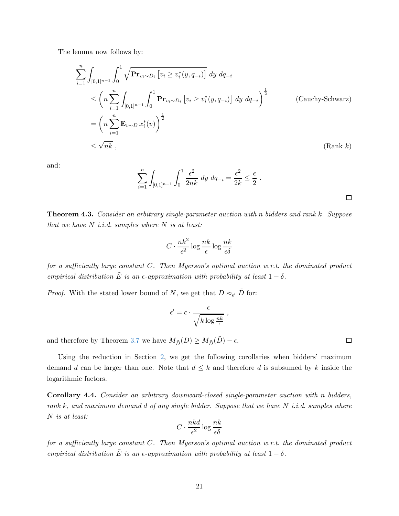The lemma now follows by:

$$
\sum_{i=1}^{n} \int_{[0,1]^{n-1}} \int_{0}^{1} \sqrt{\mathbf{Pr}_{v_i \sim D_i} [v_i \ge v_i^*(y, q_{-i})]} dy dq_{-i}
$$
\n
$$
\le \left( n \sum_{i=1}^{n} \int_{[0,1]^{n-1}} \int_{0}^{1} \mathbf{Pr}_{v_i \sim D_i} [v_i \ge v_i^*(y, q_{-i})] dy dq_{-i} \right)^{\frac{1}{2}}
$$
\n
$$
= \left( n \sum_{i=1}^{n} \mathbf{E}_{v \sim D} x_i^*(v) \right)^{\frac{1}{2}}
$$
\n
$$
\le \sqrt{n k}, \qquad (\text{Rank } k)
$$

and:

$$
\sum_{i=1}^{n} \int_{[0,1]^{n-1}} \int_0^1 \frac{\epsilon^2}{2nk} \, dy \, dq_{-i} = \frac{\epsilon^2}{2k} \le \frac{\epsilon}{2} .
$$

<span id="page-21-0"></span>Theorem 4.3. Consider an arbitrary single-parameter auction with n bidders and rank k. Suppose that we have  $N$  i.i.d. samples where  $N$  is at least:

$$
C \cdot \frac{nk^2}{\epsilon^2} \log \frac{nk}{\epsilon} \log \frac{nk}{\epsilon \delta}
$$

for a sufficiently large constant C. Then Myerson's optimal auction w.r.t. the dominated product empirical distribution  $\tilde{E}$  is an  $\epsilon$ -approximation with probability at least  $1 - \delta$ .

*Proof.* With the stated lower bound of N, we get that  $D \approx_{\epsilon'} \tilde{D}$  for:

$$
\epsilon' = c \cdot \frac{\epsilon}{\sqrt{k \log \frac{nk}{\epsilon}}},
$$

and therefore by Theorem [3.7](#page-17-0) we have  $M_{\tilde D}(D) \ge M_{\tilde D}(\tilde D) - \epsilon.$ 

Using the reduction in Section [2,](#page-5-0) we get the following corollaries when bidders' maximum demand d can be larger than one. Note that  $d \leq k$  and therefore d is subsumed by k inside the logarithmic factors.

Corollary 4.4. Consider an arbitrary downward-closed single-parameter auction with n bidders, rank k, and maximum demand d of any single bidder. Suppose that we have  $N$  i.i.d. samples where N is at least:

$$
C \cdot \frac{nkd}{\epsilon^2} \log \frac{nk}{\epsilon \delta}
$$

for a sufficiently large constant  $C$ . Then Myerson's optimal auction w.r.t. the dominated product empirical distribution  $\tilde{E}$  is an  $\epsilon$ -approximation with probability at least  $1 - \delta$ .

 $\Box$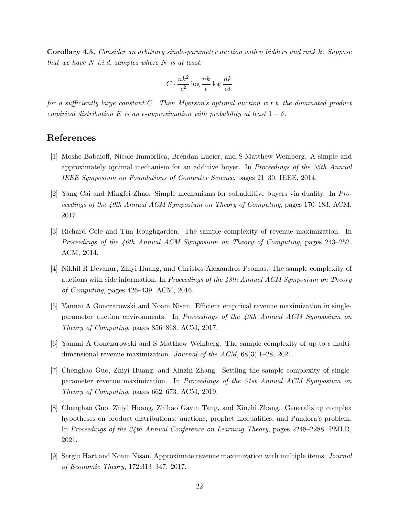Corollary 4.5. Consider an arbitrary single-parameter auction with n bidders and rank k. Suppose that we have  $N$  *i.i.d.* samples where  $N$  is at least:

$$
C \cdot \frac{nk^2}{\epsilon^2} \log \frac{nk}{\epsilon} \log \frac{nk}{\epsilon \delta}
$$

for a sufficiently large constant  $C$ . Then Myerson's optimal auction w.r.t. the dominated product empirical distribution  $\tilde{E}$  is an  $\epsilon$ -approximation with probability at least  $1 - \delta$ .

# References

- <span id="page-22-4"></span>[1] Moshe Babaioff, Nicole Immorlica, Brendan Lucier, and S Matthew Weinberg. A simple and approximately optimal mechanism for an additive buyer. In Proceedings of the 55th Annual IEEE Symposium on Foundations of Computer Science, pages 21–30. IEEE, 2014.
- <span id="page-22-5"></span>[2] Yang Cai and Mingfei Zhao. Simple mechanisms for subadditive buyers via duality. In Proceedings of the 49th Annual ACM Symposium on Theory of Computing, pages 170–183. ACM, 2017.
- <span id="page-22-2"></span>[3] Richard Cole and Tim Roughgarden. The sample complexity of revenue maximization. In Proceedings of the 46th Annual ACM Symposium on Theory of Computing, pages 243–252. ACM, 2014.
- <span id="page-22-1"></span>[4] Nikhil R Devanur, Zhiyi Huang, and Christos-Alexandros Psomas. The sample complexity of auctions with side information. In Proceedings of the 48th Annual ACM Symposium on Theory of Computing, pages 426–439. ACM, 2016.
- <span id="page-22-3"></span>[5] Yannai A Gonczarowski and Noam Nisan. Efficient empirical revenue maximization in singleparameter auction environments. In Proceedings of the 49th Annual ACM Symposium on Theory of Computing, pages 856–868. ACM, 2017.
- <span id="page-22-7"></span>[6] Yannai A Gonczarowski and S Matthew Weinberg. The sample complexity of up-to- $\epsilon$  multidimensional revenue maximization. Journal of the ACM, 68(3):1–28, 2021.
- <span id="page-22-0"></span>[7] Chenghao Guo, Zhiyi Huang, and Xinzhi Zhang. Settling the sample complexity of singleparameter revenue maximization. In Proceedings of the 51st Annual ACM Symposium on Theory of Computing, pages 662–673. ACM, 2019.
- <span id="page-22-8"></span>[8] Chenghao Guo, Zhiyi Huang, Zhihao Gavin Tang, and Xinzhi Zhang. Generalizing complex hypotheses on product distributions: auctions, prophet inequalities, and Pandora's problem. In Proceedings of the 34th Annual Conference on Learning Theory, pages 2248–2288. PMLR, 2021.
- <span id="page-22-6"></span>[9] Sergiu Hart and Noam Nisan. Approximate revenue maximization with multiple items. Journal of Economic Theory, 172:313–347, 2017.